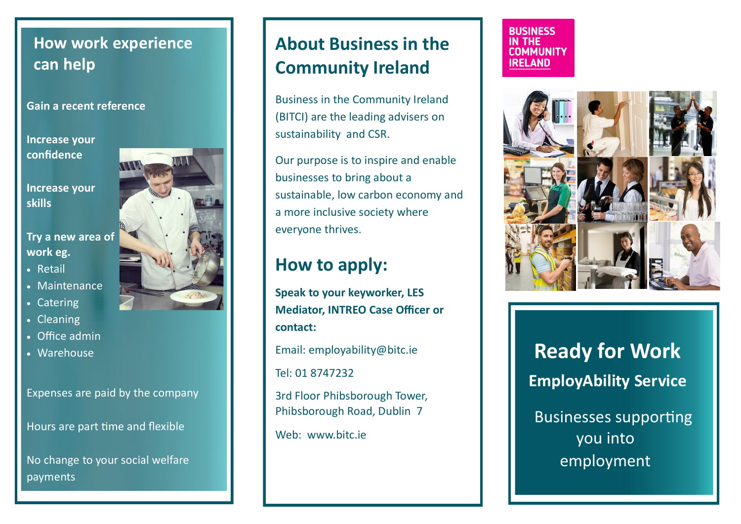### **How work experience can help**

#### **Gain a recent reference**

**Increase your confidence** 

**Increase your skills** 

**Try a new area of work eg.** 

- Retail
- Maintenance
- Catering
- Cleaning
- Office admin
- Warehouse

Expenses are paid by the company

Hours are part time and flexible

No change to your social welfare payments

# **About Business in the Community Ireland**

Business in the Community Ireland (BITCI) are the leading advisers on sustainability and CSR.

Our purpose is to inspire and enable businesses to bring about a sustainable, low carbon economy and a more inclusive society where everyone thrives.

## **How to apply:**

**Speak to your keyworker, LES Mediator, INTREO Case Officer or contact:**

Email: employability@bitc.ie

Tel: 01 8747232

3rd Floor Phibsborough Tower, Phibsborough Road, Dublin 7

Web: [www.bitc.ie](http://www.bitc.ie)

#### **BUSINESS IN THE COMMUNITY IRELAND**



**Ready for Work EmployAbility Service** Businesses supporting you into

employment